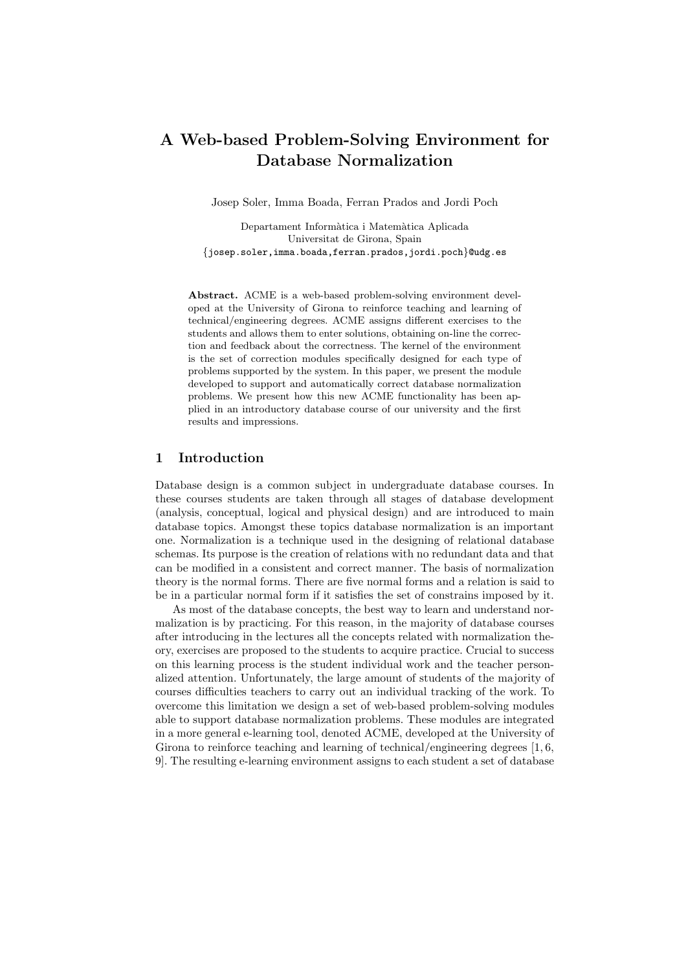# A Web-based Problem-Solving Environment for Database Normalization

Josep Soler, Imma Boada, Ferran Prados and Jordi Poch

Departament Informàtica i Matemàtica Aplicada Universitat de Girona, Spain {josep.soler,imma.boada,ferran.prados,jordi.poch}@udg.es

Abstract. ACME is a web-based problem-solving environment developed at the University of Girona to reinforce teaching and learning of technical/engineering degrees. ACME assigns different exercises to the students and allows them to enter solutions, obtaining on-line the correction and feedback about the correctness. The kernel of the environment is the set of correction modules specifically designed for each type of problems supported by the system. In this paper, we present the module developed to support and automatically correct database normalization problems. We present how this new ACME functionality has been applied in an introductory database course of our university and the first results and impressions.

# 1 Introduction

Database design is a common subject in undergraduate database courses. In these courses students are taken through all stages of database development (analysis, conceptual, logical and physical design) and are introduced to main database topics. Amongst these topics database normalization is an important one. Normalization is a technique used in the designing of relational database schemas. Its purpose is the creation of relations with no redundant data and that can be modified in a consistent and correct manner. The basis of normalization theory is the normal forms. There are five normal forms and a relation is said to be in a particular normal form if it satisfies the set of constrains imposed by it.

As most of the database concepts, the best way to learn and understand normalization is by practicing. For this reason, in the majority of database courses after introducing in the lectures all the concepts related with normalization theory, exercises are proposed to the students to acquire practice. Crucial to success on this learning process is the student individual work and the teacher personalized attention. Unfortunately, the large amount of students of the majority of courses difficulties teachers to carry out an individual tracking of the work. To overcome this limitation we design a set of web-based problem-solving modules able to support database normalization problems. These modules are integrated in a more general e-learning tool, denoted ACME, developed at the University of Girona to reinforce teaching and learning of technical/engineering degrees [1, 6, 9]. The resulting e-learning environment assigns to each student a set of database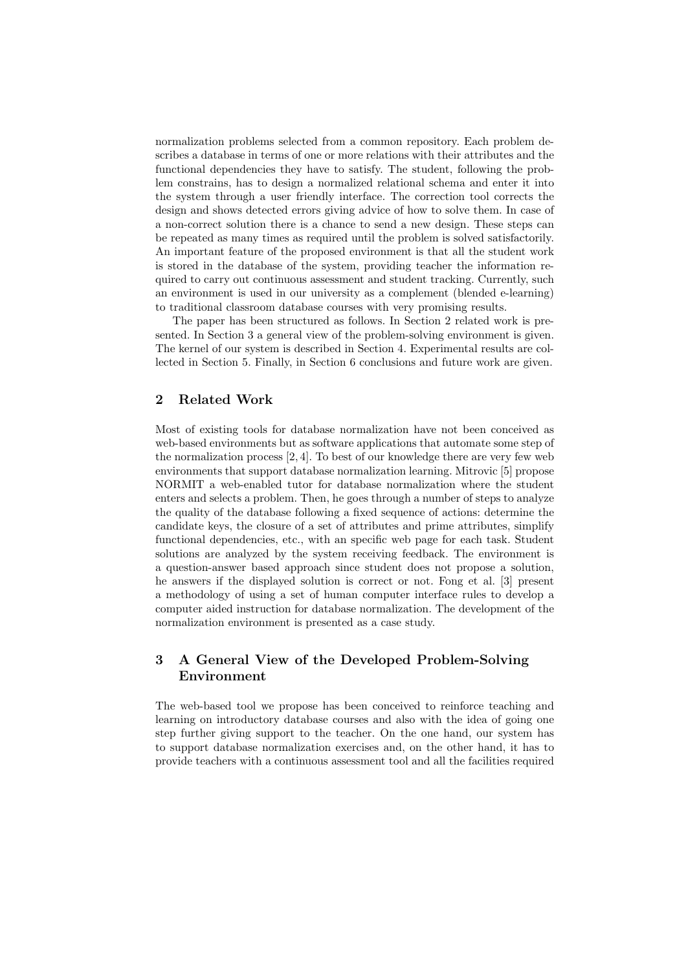normalization problems selected from a common repository. Each problem describes a database in terms of one or more relations with their attributes and the functional dependencies they have to satisfy. The student, following the problem constrains, has to design a normalized relational schema and enter it into the system through a user friendly interface. The correction tool corrects the design and shows detected errors giving advice of how to solve them. In case of a non-correct solution there is a chance to send a new design. These steps can be repeated as many times as required until the problem is solved satisfactorily. An important feature of the proposed environment is that all the student work is stored in the database of the system, providing teacher the information required to carry out continuous assessment and student tracking. Currently, such an environment is used in our university as a complement (blended e-learning) to traditional classroom database courses with very promising results.

The paper has been structured as follows. In Section 2 related work is presented. In Section 3 a general view of the problem-solving environment is given. The kernel of our system is described in Section 4. Experimental results are collected in Section 5. Finally, in Section 6 conclusions and future work are given.

# 2 Related Work

Most of existing tools for database normalization have not been conceived as web-based environments but as software applications that automate some step of the normalization process [2, 4]. To best of our knowledge there are very few web environments that support database normalization learning. Mitrovic [5] propose NORMIT a web-enabled tutor for database normalization where the student enters and selects a problem. Then, he goes through a number of steps to analyze the quality of the database following a fixed sequence of actions: determine the candidate keys, the closure of a set of attributes and prime attributes, simplify functional dependencies, etc., with an specific web page for each task. Student solutions are analyzed by the system receiving feedback. The environment is a question-answer based approach since student does not propose a solution, he answers if the displayed solution is correct or not. Fong et al. [3] present a methodology of using a set of human computer interface rules to develop a computer aided instruction for database normalization. The development of the normalization environment is presented as a case study.

# 3 A General View of the Developed Problem-Solving Environment

The web-based tool we propose has been conceived to reinforce teaching and learning on introductory database courses and also with the idea of going one step further giving support to the teacher. On the one hand, our system has to support database normalization exercises and, on the other hand, it has to provide teachers with a continuous assessment tool and all the facilities required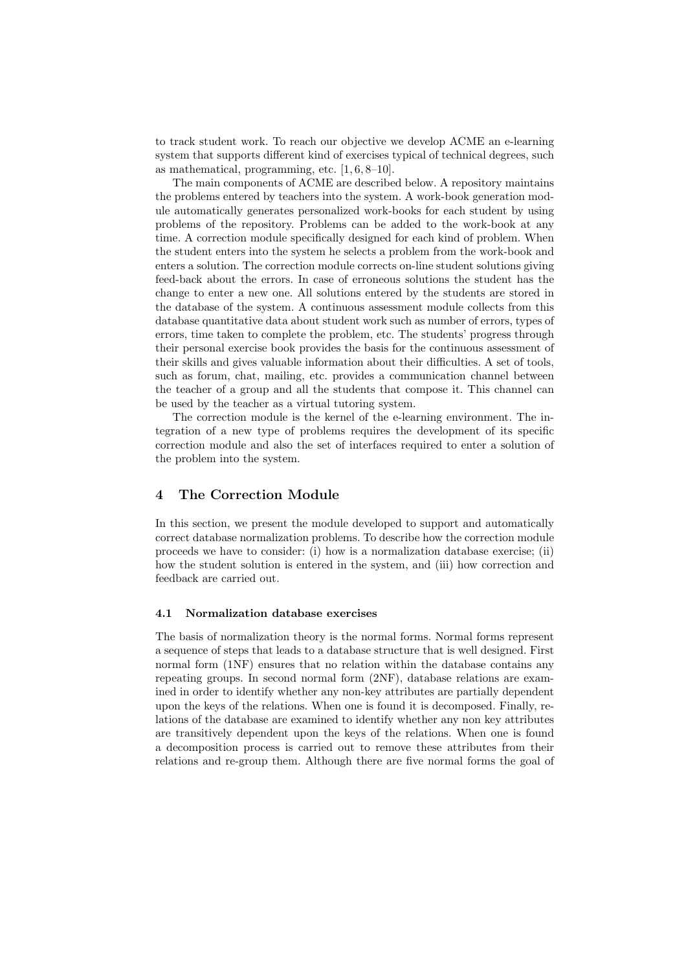to track student work. To reach our objective we develop ACME an e-learning system that supports different kind of exercises typical of technical degrees, such as mathematical, programming, etc. [1, 6, 8–10].

The main components of ACME are described below. A repository maintains the problems entered by teachers into the system. A work-book generation module automatically generates personalized work-books for each student by using problems of the repository. Problems can be added to the work-book at any time. A correction module specifically designed for each kind of problem. When the student enters into the system he selects a problem from the work-book and enters a solution. The correction module corrects on-line student solutions giving feed-back about the errors. In case of erroneous solutions the student has the change to enter a new one. All solutions entered by the students are stored in the database of the system. A continuous assessment module collects from this database quantitative data about student work such as number of errors, types of errors, time taken to complete the problem, etc. The students' progress through their personal exercise book provides the basis for the continuous assessment of their skills and gives valuable information about their difficulties. A set of tools, such as forum, chat, mailing, etc. provides a communication channel between the teacher of a group and all the students that compose it. This channel can be used by the teacher as a virtual tutoring system.

The correction module is the kernel of the e-learning environment. The integration of a new type of problems requires the development of its specific correction module and also the set of interfaces required to enter a solution of the problem into the system.

# 4 The Correction Module

In this section, we present the module developed to support and automatically correct database normalization problems. To describe how the correction module proceeds we have to consider: (i) how is a normalization database exercise; (ii) how the student solution is entered in the system, and (iii) how correction and feedback are carried out.

#### 4.1 Normalization database exercises

The basis of normalization theory is the normal forms. Normal forms represent a sequence of steps that leads to a database structure that is well designed. First normal form (1NF) ensures that no relation within the database contains any repeating groups. In second normal form (2NF), database relations are examined in order to identify whether any non-key attributes are partially dependent upon the keys of the relations. When one is found it is decomposed. Finally, relations of the database are examined to identify whether any non key attributes are transitively dependent upon the keys of the relations. When one is found a decomposition process is carried out to remove these attributes from their relations and re-group them. Although there are five normal forms the goal of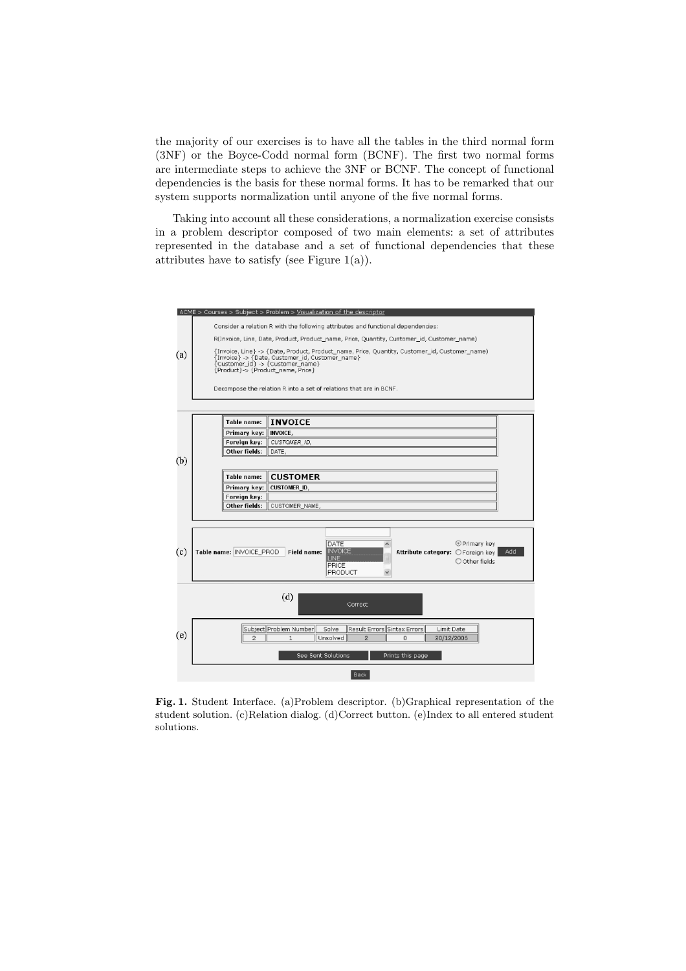the majority of our exercises is to have all the tables in the third normal form (3NF) or the Boyce-Codd normal form (BCNF). The first two normal forms are intermediate steps to achieve the 3NF or BCNF. The concept of functional dependencies is the basis for these normal forms. It has to be remarked that our system supports normalization until anyone of the five normal forms.

Taking into account all these considerations, a normalization exercise consists in a problem descriptor composed of two main elements: a set of attributes represented in the database and a set of functional dependencies that these attributes have to satisfy (see Figure 1(a)).



Fig. 1. Student Interface. (a)Problem descriptor. (b)Graphical representation of the student solution. (c)Relation dialog. (d)Correct button. (e)Index to all entered student solutions.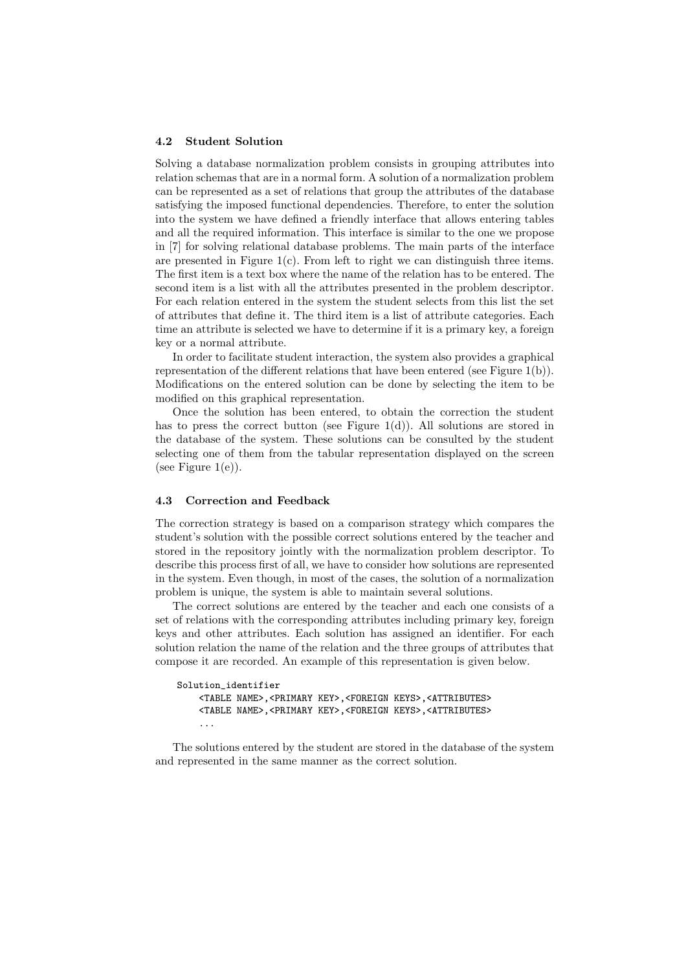#### 4.2 Student Solution

Solving a database normalization problem consists in grouping attributes into relation schemas that are in a normal form. A solution of a normalization problem can be represented as a set of relations that group the attributes of the database satisfying the imposed functional dependencies. Therefore, to enter the solution into the system we have defined a friendly interface that allows entering tables and all the required information. This interface is similar to the one we propose in [7] for solving relational database problems. The main parts of the interface are presented in Figure  $1(c)$ . From left to right we can distinguish three items. The first item is a text box where the name of the relation has to be entered. The second item is a list with all the attributes presented in the problem descriptor. For each relation entered in the system the student selects from this list the set of attributes that define it. The third item is a list of attribute categories. Each time an attribute is selected we have to determine if it is a primary key, a foreign key or a normal attribute.

In order to facilitate student interaction, the system also provides a graphical representation of the different relations that have been entered (see Figure 1(b)). Modifications on the entered solution can be done by selecting the item to be modified on this graphical representation.

Once the solution has been entered, to obtain the correction the student has to press the correct button (see Figure 1(d)). All solutions are stored in the database of the system. These solutions can be consulted by the student selecting one of them from the tabular representation displayed on the screen (see Figure  $1(e)$ ).

#### 4.3 Correction and Feedback

The correction strategy is based on a comparison strategy which compares the student's solution with the possible correct solutions entered by the teacher and stored in the repository jointly with the normalization problem descriptor. To describe this process first of all, we have to consider how solutions are represented in the system. Even though, in most of the cases, the solution of a normalization problem is unique, the system is able to maintain several solutions.

The correct solutions are entered by the teacher and each one consists of a set of relations with the corresponding attributes including primary key, foreign keys and other attributes. Each solution has assigned an identifier. For each solution relation the name of the relation and the three groups of attributes that compose it are recorded. An example of this representation is given below.

```
Solution_identifier
<TABLE NAME>,<PRIMARY KEY>,<FOREIGN KEYS>,<ATTRIBUTES>
<TABLE NAME>,<PRIMARY KEY>,<FOREIGN KEYS>,<ATTRIBUTES>
...
```
The solutions entered by the student are stored in the database of the system and represented in the same manner as the correct solution.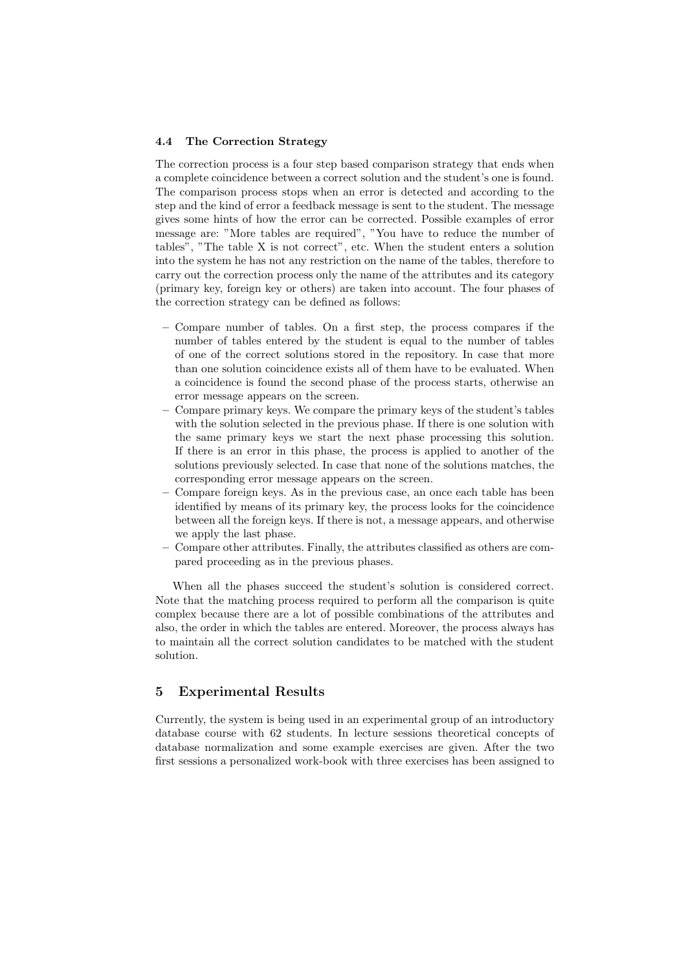#### 4.4 The Correction Strategy

The correction process is a four step based comparison strategy that ends when a complete coincidence between a correct solution and the student's one is found. The comparison process stops when an error is detected and according to the step and the kind of error a feedback message is sent to the student. The message gives some hints of how the error can be corrected. Possible examples of error message are: "More tables are required", "You have to reduce the number of tables", "The table X is not correct", etc. When the student enters a solution into the system he has not any restriction on the name of the tables, therefore to carry out the correction process only the name of the attributes and its category (primary key, foreign key or others) are taken into account. The four phases of the correction strategy can be defined as follows:

- Compare number of tables. On a first step, the process compares if the number of tables entered by the student is equal to the number of tables of one of the correct solutions stored in the repository. In case that more than one solution coincidence exists all of them have to be evaluated. When a coincidence is found the second phase of the process starts, otherwise an error message appears on the screen.
- Compare primary keys. We compare the primary keys of the student's tables with the solution selected in the previous phase. If there is one solution with the same primary keys we start the next phase processing this solution. If there is an error in this phase, the process is applied to another of the solutions previously selected. In case that none of the solutions matches, the corresponding error message appears on the screen.
- Compare foreign keys. As in the previous case, an once each table has been identified by means of its primary key, the process looks for the coincidence between all the foreign keys. If there is not, a message appears, and otherwise we apply the last phase.
- Compare other attributes. Finally, the attributes classified as others are compared proceeding as in the previous phases.

When all the phases succeed the student's solution is considered correct. Note that the matching process required to perform all the comparison is quite complex because there are a lot of possible combinations of the attributes and also, the order in which the tables are entered. Moreover, the process always has to maintain all the correct solution candidates to be matched with the student solution.

# 5 Experimental Results

Currently, the system is being used in an experimental group of an introductory database course with 62 students. In lecture sessions theoretical concepts of database normalization and some example exercises are given. After the two first sessions a personalized work-book with three exercises has been assigned to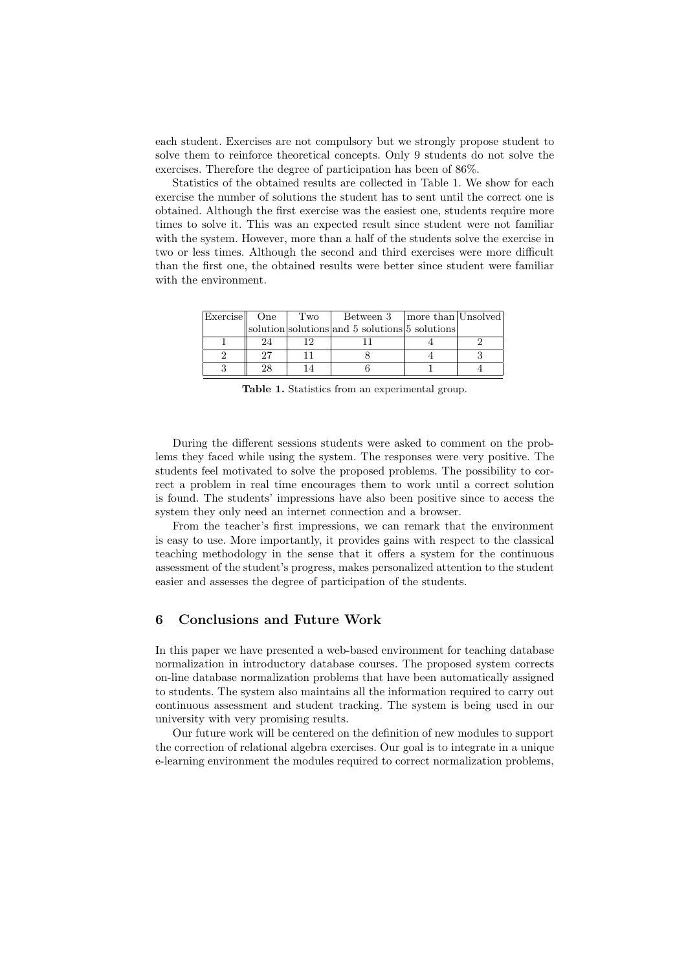each student. Exercises are not compulsory but we strongly propose student to solve them to reinforce theoretical concepts. Only 9 students do not solve the exercises. Therefore the degree of participation has been of 86%.

Statistics of the obtained results are collected in Table 1. We show for each exercise the number of solutions the student has to sent until the correct one is obtained. Although the first exercise was the easiest one, students require more times to solve it. This was an expected result since student were not familiar with the system. However, more than a half of the students solve the exercise in two or less times. Although the second and third exercises were more difficult than the first one, the obtained results were better since student were familiar with the environment.

| Exercise   One |    | Two | Between 3   more than Unsolved                 |  |
|----------------|----|-----|------------------------------------------------|--|
|                |    |     | solution solutions and 5 solutions 5 solutions |  |
|                | 24 |     |                                                |  |
|                | 97 |     |                                                |  |
|                | 28 |     |                                                |  |

Table 1. Statistics from an experimental group.

During the different sessions students were asked to comment on the problems they faced while using the system. The responses were very positive. The students feel motivated to solve the proposed problems. The possibility to correct a problem in real time encourages them to work until a correct solution is found. The students' impressions have also been positive since to access the system they only need an internet connection and a browser.

From the teacher's first impressions, we can remark that the environment is easy to use. More importantly, it provides gains with respect to the classical teaching methodology in the sense that it offers a system for the continuous assessment of the student's progress, makes personalized attention to the student easier and assesses the degree of participation of the students.

# 6 Conclusions and Future Work

In this paper we have presented a web-based environment for teaching database normalization in introductory database courses. The proposed system corrects on-line database normalization problems that have been automatically assigned to students. The system also maintains all the information required to carry out continuous assessment and student tracking. The system is being used in our university with very promising results.

Our future work will be centered on the definition of new modules to support the correction of relational algebra exercises. Our goal is to integrate in a unique e-learning environment the modules required to correct normalization problems,